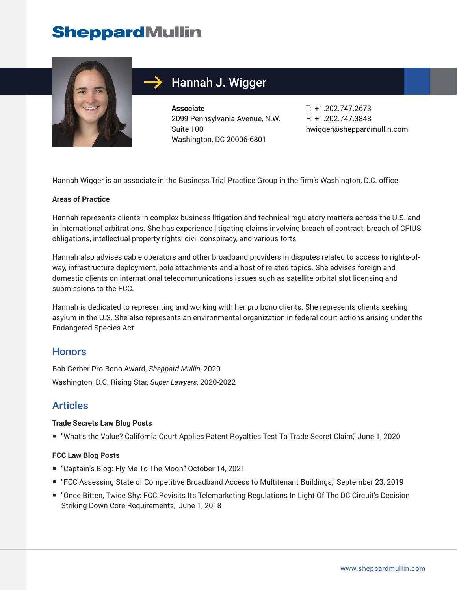# **SheppardMullin**



## Hannah J. Wigger

**Associate** 2099 Pennsylvania Avenue, N.W. Suite 100 Washington, DC 20006-6801

T: +1.202.747.2673 F: +1.202.747.3848 hwigger@sheppardmullin.com

Hannah Wigger is an associate in the Business Trial Practice Group in the firm's Washington, D.C. office.

#### **Areas of Practice**

Hannah represents clients in complex business litigation and technical regulatory matters across the U.S. and in international arbitrations. She has experience litigating claims involving breach of contract, breach of CFIUS obligations, intellectual property rights, civil conspiracy, and various torts.

Hannah also advises cable operators and other broadband providers in disputes related to access to rights-ofway, infrastructure deployment, pole attachments and a host of related topics. She advises foreign and domestic clients on international telecommunications issues such as satellite orbital slot licensing and submissions to the FCC.

Hannah is dedicated to representing and working with her pro bono clients. She represents clients seeking asylum in the U.S. She also represents an environmental organization in federal court actions arising under the Endangered Species Act.

#### **Honors**

Bob Gerber Pro Bono Award, *Sheppard Mullin*, 2020 Washington, D.C. Rising Star, *Super Lawyers*, 2020-2022

## Articles

#### **Trade Secrets Law Blog Posts**

■ "What's the Value? California Court Applies Patent Royalties Test To Trade Secret Claim," June 1, 2020

#### **FCC Law Blog Posts**

- "Captain's Blog: Fly Me To The Moon," October 14, 2021
- "FCC Assessing State of Competitive Broadband Access to Multitenant Buildings," September 23, 2019
- "Once Bitten, Twice Shy: FCC Revisits Its Telemarketing Regulations In Light Of The DC Circuit's Decision Striking Down Core Requirements," June 1, 2018